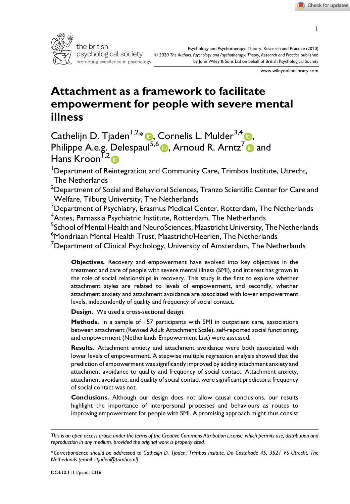

www.wileyonlinelibrary.com

# Attachment as a framework to facilitate empowerment for people with severe mental illness

Cathelijn D. Tjaden<sup>1,2\*</sup> (D, Cornelis L. Mulder<sup>3,4</sup> D, Philippe A.e.g. Delespaul<sup>5,6</sup> , Arnoud R. Arntz<sup>7</sup> and Hans Kroon<sup>1,2</sup>

<sup>1</sup>Department of Reintegration and Community Care, Trimbos Institute, Utrecht, The Netherlands

 $^{\rm 2}$ Department of Social and Behavioral Sciences, Tranzo Scientific Center for Care and Welfare, Tilburg University, The Netherlands

 $^3$ Department of Psychiatry, Erasmus Medical Center, Rotterdam, The Netherlands <sup>4</sup>Antes, Parnassia Psychiatric Institute, Rotterdam, The Netherlands

<sup>5</sup>School of Mental Health and NeuroSciences, Maastricht University, The Netherlands

 $^6$ Mondriaan Mental Health Trust, Maastricht/Heerlen, The Netherlands

 ${\rm ^7}$ Department of Clinical Psychology, University of Amsterdam, The Netherlands

Objectives. Recovery and empowerment have evolved into key objectives in the treatment and care of people with severe mental illness (SMI), and interest has grown in the role of social relationships in recovery. This study is the first to explore whether attachment styles are related to levels of empowerment, and secondly, whether attachment anxiety and attachment avoidance are associated with lower empowerment levels, independently of quality and frequency of social contact.

Design. We used a cross-sectional design.

Methods. In a sample of 157 participants with SMI in outpatient care, associations between attachment (Revised Adult Attachment Scale), self-reported social functioning, and empowerment (Netherlands Empowerment List) were assessed.

Results. Attachment anxiety and attachment avoidance were both associated with lower levels of empowerment. A stepwise multiple regression analysis showed that the prediction of empowerment was significantly improved by adding attachment anxiety and attachment avoidance to quality and frequency of social contact. Attachment anxiety, attachment avoidance, and quality of social contact were significant predictors; frequency of social contact was not.

Conclusions. Although our design does not allow causal conclusions, our results highlight the importance of interpersonal processes and behaviours as routes to improving empowerment for people with SMI. A promising approach might thus consist

This is an open access article under the terms of the Creative Commons Attribution License, which permits use, distribution and reproduction in any medium, provided the original work is properly cited.

<sup>\*</sup>Correspondence should be addressed to Cathelijn D. Tjaden, Trimbos Insitute, Da Costakade 45, 3521 VS Utrecht, The Netherlands (email: ctjaden@trimbos.nl).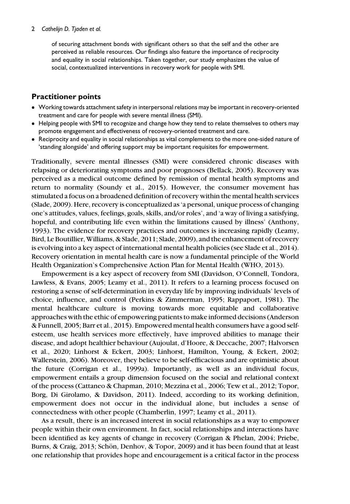#### 2 Cathelijn D. Tjaden et al.

of securing attachment bonds with significant others so that the self and the other are perceived as reliable resources. Our findings also feature the importance of reciprocity and equality in social relationships. Taken together, our study emphasizes the value of social, contextualized interventions in recovery work for people with SMI.

## Practitioner points

- Working towards attachment safety in interpersonal relations may be important in recovery-oriented treatment and care for people with severe mental illness (SMI).
- Helping people with SMI to recognize and change how they tend to relate themselves to others may promote engagement and effectiveness of recovery-oriented treatment and care.
- Reciprocity and equality in social relationships as vital complements to the more one-sided nature of 'standing alongside' and offering support may be important requisites for empowerment.

Traditionally, severe mental illnesses (SMI) were considered chronic diseases with relapsing or deteriorating symptoms and poor prognoses (Bellack, 2005). Recovery was perceived as a medical outcome defined by remission of mental health symptoms and return to normality (Soundy et al., 2015). However, the consumer movement has stimulated a focus on a broadened definition of recovery within the mental health services (Slade, 2009). Here, recovery is conceptualized as 'a personal, unique process of changing one's attitudes, values, feelings, goals, skills, and/or roles', and 'a way of living a satisfying, hopeful, and contributing life even within the limitations caused by illness' (Anthony, 1993). The evidence for recovery practices and outcomes is increasing rapidly (Leamy, Bird, Le Boutillier, Williams, & Slade, 2011; Slade, 2009), and the enhancement of recovery is evolving into a key aspect of international mental health policies (see Slade et al., 2014). Recovery orientation in mental health care is now a fundamental principle of the World Health Organization's Comprehensive Action Plan for Mental Health (WHO, 2013).

Empowerment is a key aspect of recovery from SMI (Davidson, O'Connell, Tondora, Lawless, & Evans, 2005; Leamy et al., 2011). It refers to a learning process focused on restoring a sense of self-determination in everyday life by improving individuals' levels of choice, influence, and control (Perkins & Zimmerman, 1995; Rappaport, 1981). The mental healthcare culture is moving towards more equitable and collaborative approaches with the ethic of empowering patients to make informed decisions (Anderson & Funnell, 2005; Barr et al., 2015). Empowered mental health consumers have a good selfesteem, use health services more effectively, have improved abilities to manage their disease, and adopt healthier behaviour (Aujoulat, d'Hoore, & Deccache, 2007; Halvorsen et al., 2020; Linhorst & Eckert, 2003; Linhorst, Hamilton, Young, & Eckert, 2002; Wallerstein, 2006). Moreover, they believe to be self-efficacious and are optimistic about the future (Corrigan et al., 1999a). Importantly, as well as an individual focus, empowerment entails a group dimension focused on the social and relational context of the process (Cattaneo & Chapman, 2010; Mezzina et al., 2006; Tew et al., 2012; Topor, Borg, Di Girolamo, & Davidson, 2011). Indeed, according to its working definition, empowerment does not occur in the individual alone, but includes a sense of connectedness with other people (Chamberlin, 1997; Leamy et al., 2011).

As a result, there is an increased interest in social relationships as a way to empower people within their own environment. In fact, social relationships and interactions have been identified as key agents of change in recovery (Corrigan & Phelan, 2004; Priebe, Burns, & Craig, 2013; Schön, Denhov, & Topor, 2009) and it has been found that at least one relationship that provides hope and encouragement is a critical factor in the process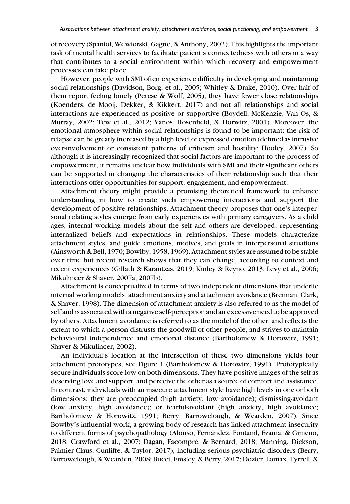of recovery (Spaniol, Wewiorski, Gagne, & Anthony, 2002). This highlights the important task of mental health services to facilitate patient's connectedness with others in a way that contributes to a social environment within which recovery and empowerment processes can take place.

However, people with SMI often experience difficulty in developing and maintaining social relationships (Davidson, Borg, et al., 2005; Whitley & Drake, 2010). Over half of them report feeling lonely (Perese & Wolf, 2005), they have fewer close relationships (Koenders, de Mooij, Dekker, & Kikkert, 2017) and not all relationships and social interactions are experienced as positive or supportive (Boydell, McKenzie, Van Os, & Murray, 2002; Tew et al., 2012; Yanos, Rosenfield, & Horwitz, 2001). Moreover, the emotional atmosphere within social relationships is found to be important: the risk of relapse can be greatly increased by a high level of expressed emotion (defined as intrusive over-involvement or consistent patterns of criticism and hostility; Hooley, 2007). So although it is increasingly recognized that social factors are important to the process of empowerment, it remains unclear how individuals with SMI and their significant others can be supported in changing the characteristics of their relationship such that their interactions offer opportunities for support, engagement, and empowerment.

Attachment theory might provide a promising theoretical framework to enhance understanding in how to create such empowering interactions and support the development of positive relationships. Attachment theory proposes that one's interpersonal relating styles emerge from early experiences with primary caregivers. As a child ages, internal working models about the self and others are developed, representing internalized beliefs and expectations in relationships. These models characterize attachment styles, and guide emotions, motives, and goals in interpersonal situations (Ainsworth & Bell, 1970; Bowlby, 1958, 1969). Attachment styles are assumed to be stable over time but recent research shows that they can change, according to context and recent experiences (Gillath & Karantzas, 2019; Kinley & Reyno, 2013; Levy et al., 2006; Mikulincer & Shaver, 2007a, 2007b).

Attachment is conceptualized in terms of two independent dimensions that underlie internal working models: attachment anxiety and attachment avoidance (Brennan, Clark, & Shaver, 1998). The dimension of attachment anxiety is also referred to as the model of self and is associated with a negative self-perception and an excessive need to be approved by others. Attachment avoidance is referred to as the model of the other, and reflects the extent to which a person distrusts the goodwill of other people, and strives to maintain behavioural independence and emotional distance (Bartholomew & Horowitz, 1991; Shaver & Mikulincer, 2002).

An individual's location at the intersection of these two dimensions yields four attachment prototypes, see Figure 1 (Bartholomew & Horowitz, 1991). Prototypically secure individuals score low on both dimensions. They have positive images of the self as deserving love and support, and perceive the other as a source of comfort and assistance. In contrast, individuals with an insecure attachment style have high levels in one or both dimensions: they are preoccupied (high anxiety, low avoidance); dismissing-avoidant (low anxiety, high avoidance); or fearful-avoidant (high anxiety, high avoidance; Bartholomew & Horowitz, 1991; Berry, Barrowclough, & Wearden, 2007). Since Bowlby's influential work, a growing body of research has linked attachment insecurity to different forms of psychopathology (Alonso, Fernández, Fontanil, Ezama, & Gimeno, 2018; Crawford et al., 2007; Dagan, Facompré, & Bernard, 2018; Manning, Dickson, Palmier-Claus, Cunliffe, & Taylor, 2017), including serious psychiatric disorders (Berry, Barrowclough, & Wearden, 2008; Bucci, Emsley, & Berry, 2017; Dozier, Lomax, Tyrrell, &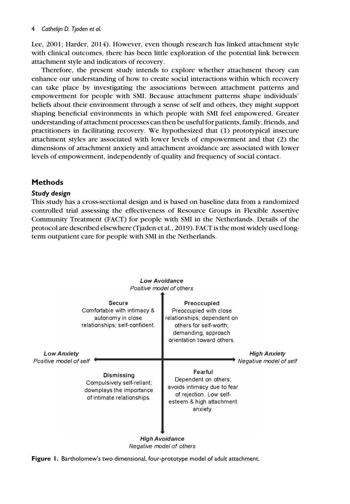#### 4 Cathelijn D. Tjaden et al.

Lee, 2001; Harder, 2014). However, even though research has linked attachment style with clinical outcomes, there has been little exploration of the potential link between attachment style and indicators of recovery.

Therefore, the present study intends to explore whether attachment theory can enhance our understanding of how to create social interactions within which recovery can take place by investigating the associations between attachment patterns and empowerment for people with SMI. Because attachment patterns shape individuals' beliefs about their environment through a sense of self and others, they might support shaping beneficial environments in which people with SMI feel empowered. Greater understanding of attachment processes can then be useful for patients, family, friends, and practitioners in facilitating recovery. We hypothesized that (1) prototypical insecure attachment styles are associated with lower levels of empowerment and that (2) the dimensions of attachment anxiety and attachment avoidance are associated with lower levels of empowerment, independently of quality and frequency of social contact.

# **Methods**

## Study design

This study has a cross-sectional design and is based on baseline data from a randomized controlled trial assessing the effectiveness of Resource Groups in Flexible Assertive Community Treatment (FACT) for people with SMI in the Netherlands. Details of the protocol are described elsewhere (Tjaden et al., 2019). FACT is the most widely used longterm outpatient care for people with SMI in the Netherlands.



Figure 1. Bartholomew's two dimensional, four-prototype model of adult attachment.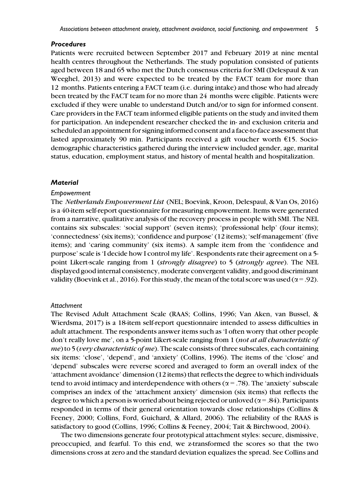## Procedures

Patients were recruited between September 2017 and February 2019 at nine mental health centres throughout the Netherlands. The study population consisted of patients aged between 18 and 65 who met the Dutch consensus criteria for SMI (Delespaul & van Weeghel, 2013) and were expected to be treated by the FACT team for more than 12 months. Patients entering a FACT team (i.e. during intake) and those who had already been treated by the FACT team for no more than 24 months were eligible. Patients were excluded if they were unable to understand Dutch and/or to sign for informed consent. Care providers in the FACT team informed eligible patients on the study and invited them for participation. An independent researcher checked the in- and exclusion criteria and scheduled an appointment for signing informed consent and a face-to-face assessment that lasted approximately 90 min. Participants received a gift voucher worth €15. Sociodemographic characteristics gathered during the interview included gender, age, marital status, education, employment status, and history of mental health and hospitalization.

#### **Material**

#### Empowerment

The Netherlands Empowerment List (NEL; Boevink, Kroon, Delespaul, & Van Os, 2016) is a 40-item self-report questionnaire for measuring empowerment. Items were generated from a narrative, qualitative analysis of the recovery process in people with SMI. The NEL contains six subscales: 'social support' (seven items); 'professional help' (four items); 'connectedness' (six items); 'confidence and purpose' (12 items); 'self-management' (five items); and 'caring community' (six items). A sample item from the 'confidence and purpose' scale is 'I decide how I control my life'. Respondents rate their agreement on a 5 point Likert-scale ranging from 1 (strongly disagree) to 5 (strongly agree). The NEL displayed good internal consistency, moderate convergent validity, and good discriminant validity (Boevink et al., 2016). For this study, the mean of the total score was used ( $\alpha$  = .92).

#### **Attachment**

The Revised Adult Attachment Scale (RAAS; Collins, 1996; Van Aken, van Bussel, & Wierdsma, 2017) is a 18-item self-report questionnaire intended to assess difficulties in adult attachment. The respondents answer items such as 'I often worry that other people don't really love me', on a 5-point Likert-scale ranging from 1 (not at all characteristic of me) to 5 (very characteristic of me). The scale consists of three subscales, each containing six items: 'close', 'depend', and 'anxiety' (Collins, 1996). The items of the 'close' and 'depend' subscales were reverse scored and averaged to form an overall index of the 'attachment avoidance' dimension (12 items) that reflects the degree to which individuals tend to avoid intimacy and interdependence with others ( $\alpha$  = .78). The 'anxiety' subscale comprises an index of the 'attachment anxiety' dimension (six items) that reflects the degree to which a person is worried about being rejected or unloved ( $\alpha$  = .84). Participants responded in terms of their general orientation towards close relationships (Collins & Feeney, 2000; Collins, Ford, Guichard, & Allard, 2006). The reliability of the RAAS is satisfactory to good (Collins, 1996; Collins & Feeney, 2004; Tait & Birchwood, 2004).

The two dimensions generate four prototypical attachment styles: secure, dismissive, preoccupied, and fearful. To this end, we z-transformed the scores so that the two dimensions cross at zero and the standard deviation equalizes the spread. See Collins and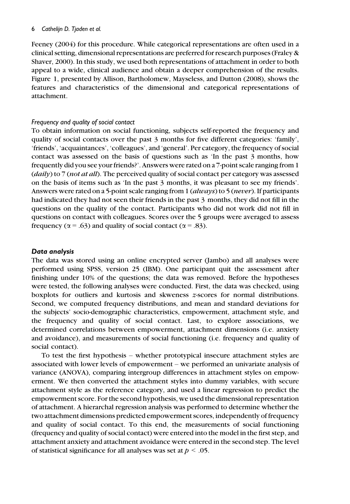#### 6 Cathelijn D. Tjaden et al.

Feeney (2004) for this procedure. While categorical representations are often used in a clinical setting, dimensional representations are preferred for research purposes (Fraley & Shaver, 2000). In this study, we used both representations of attachment in order to both appeal to a wide, clinical audience and obtain a deeper comprehension of the results. Figure 1, presented by Allison, Bartholomew, Mayseless, and Dutton (2008), shows the features and characteristics of the dimensional and categorical representations of attachment.

#### Frequency and quality of social contact

To obtain information on social functioning, subjects self-reported the frequency and quality of social contacts over the past 3 months for five different categories: 'family', 'friends', 'acquaintances', 'colleagues', and 'general'. Per category, the frequency of social contact was assessed on the basis of questions such as 'In the past 3 months, how frequently did you see your friends?'. Answers were rated on a 7-point scale ranging from 1 (daily) to 7 (not at all). The perceived quality of social contact per category was assessed on the basis of items such as 'In the past 3 months, it was pleasant to see my friends'. Answers were rated on a 5-point scale ranging from 1 (always) to 5 (never). If participants had indicated they had not seen their friends in the past 3 months, they did not fill in the questions on the quality of the contact. Participants who did not work did not fill in questions on contact with colleagues. Scores over the 5 groups were averaged to assess frequency ( $\alpha$  = .63) and quality of social contact ( $\alpha$  = .83).

## Data analysis

The data was stored using an online encrypted server (Jambo) and all analyses were performed using SPSS, version 25 (IBM). One participant quit the assessment after finishing under 10% of the questions; the data was removed. Before the hypotheses were tested, the following analyses were conducted. First, the data was checked, using boxplots for outliers and kurtosis and skweness z-scores for normal distributions. Second, we computed frequency distributions, and mean and standard deviations for the subjects' socio-demographic characteristics, empowerment, attachment style, and the frequency and quality of social contact. Last, to explore associations, we determined correlations between empowerment, attachment dimensions (i.e. anxiety and avoidance), and measurements of social functioning (i.e. frequency and quality of social contact).

To test the first hypothesis – whether prototypical insecure attachment styles are associated with lower levels of empowerment – we performed an univariate analysis of variance (ANOVA), comparing intergroup differences in attachment styles on empowerment. We then converted the attachment styles into dummy variables, with secure attachment style as the reference category, and used a linear regression to predict the empowerment score. For the second hypothesis, we used the dimensional representation of attachment. A hierarchal regression analysis was performed to determine whether the two attachment dimensions predicted empowerment scores, independently of frequency and quality of social contact. To this end, the measurements of social functioning (frequency and quality of social contact) were entered into the model in the first step, and attachment anxiety and attachment avoidance were entered in the second step. The level of statistical significance for all analyses was set at  $p < .05$ .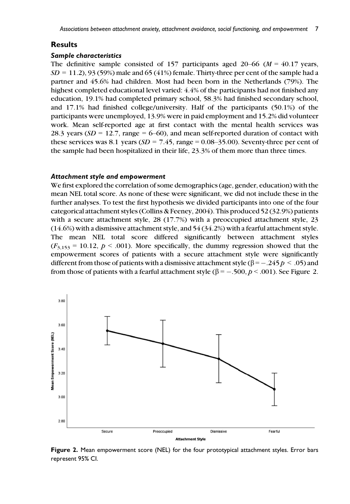## **Results**

## Sample characteristics

The definitive sample consisted of 157 participants aged 20–66 ( $M = 40.17$  years,  $SD = 11.2$ ), 93 (59%) male and 65 (41%) female. Thirty-three per cent of the sample had a partner and 45.6% had children. Most had been born in the Netherlands (79%). The highest completed educational level varied: 4.4% of the participants had not finished any education, 19.1% had completed primary school, 58.3% had finished secondary school, and 17.1% had finished college/university. Half of the participants (50.1%) of the participants were unemployed, 13.9% were in paid employment and 15.2% did volunteer work. Mean self-reported age at first contact with the mental health services was 28.3 years  $(SD = 12.7$ , range = 6–60), and mean self-reported duration of contact with these services was 8.1 years ( $SD = 7.45$ , range = 0.08–35.00). Seventy-three per cent of the sample had been hospitalized in their life, 23.3% of them more than three times.

#### Attachment style and empowerment

We first explored the correlation of some demographics (age, gender, education) with the mean NEL total score. As none of these were significant, we did not include these in the further analyses. To test the first hypothesis we divided participants into one of the four categorical attachment styles (Collins & Feeney, 2004). This produced 52 (32.9%) patients with a secure attachment style, 28 (17.7%) with a preoccupied attachment style, 23  $(14.6%)$  with a dismissive attachment style, and  $54 (34.2%)$  with a fearful attachment style. The mean NEL total score differed significantly between attachment styles  $(F_{3,153} = 10.12, p \le 0.001)$ . More specifically, the dummy regression showed that the empowerment scores of patients with a secure attachment style were significantly different from those of patients with a dismissive attachment style ( $\beta = -0.245 p \le 0.05$ ) and from those of patients with a fearful attachment style ( $\beta = -.500, p < .001$ ). See Figure 2.



Figure 2. Mean empowerment score (NEL) for the four prototypical attachment styles. Error bars represent 95% CI.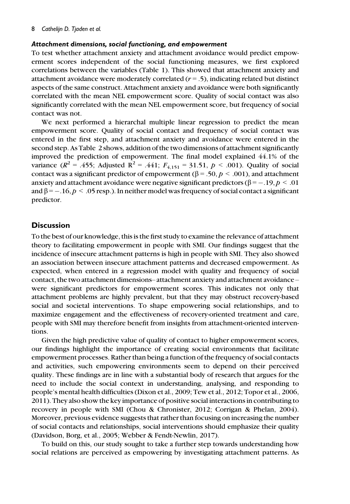## Attachment dimensions, social functioning, and empowerment

To test whether attachment anxiety and attachment avoidance would predict empowerment scores independent of the social functioning measures, we first explored correlations between the variables (Table 1). This showed that attachment anxiety and attachment avoidance were moderately correlated  $(r = .5)$ , indicating related but distinct aspects of the same construct. Attachment anxiety and avoidance were both significantly correlated with the mean NEL empowerment score. Quality of social contact was also significantly correlated with the mean NEL empowerment score, but frequency of social contact was not.

We next performed a hierarchal multiple linear regression to predict the mean empowerment score. Quality of social contact and frequency of social contact was entered in the first step, and attachment anxiety and avoidance were entered in the second step. As Table 2 shows, addition of the two dimensions of attachment significantly improved the prediction of empowerment. The final model explained 44.1% of the variance ( $R^2 = .455$ ; Adjusted  $R^2 = .441$ ;  $F_{4,151} = 31.51$ ,  $p < .001$ ). Quality of social contact was a significant predictor of empowerment ( $\beta$  = .50,  $p$  < .001), and attachment anxiety and attachment avoidance were negative significant predictors ( $\beta = -.19, p < .01$ ) and  $\beta = -16$ ,  $p < .05$  resp.). In neither model was frequency of social contact a significant predictor.

## **Discussion**

To the best of our knowledge, this is the first study to examine the relevance of attachment theory to facilitating empowerment in people with SMI. Our findings suggest that the incidence of insecure attachment patterns is high in people with SMI. They also showed an association between insecure attachment patterns and decreased empowerment. As expected, when entered in a regression model with quality and frequency of social contact, the two attachment dimensions– attachment anxiety and attachment avoidance – were significant predictors for empowerment scores. This indicates not only that attachment problems are highly prevalent, but that they may obstruct recovery-based social and societal interventions. To shape empowering social relationships, and to maximize engagement and the effectiveness of recovery-oriented treatment and care, people with SMI may therefore benefit from insights from attachment-oriented interventions.

Given the high predictive value of quality of contact to higher empowerment scores, our findings highlight the importance of creating social environments that facilitate empowerment processes. Rather than being a function of the frequency of social contacts and activities, such empowering environments seem to depend on their perceived quality. These findings are in line with a substantial body of research that argues for the need to include the social context in understanding, analysing, and responding to people's mental health difficulties (Dixon et al., 2009; Tew et al., 2012; Topor et al., 2006, 2011). They also show the key importance of positive social interactions in contributing to recovery in people with SMI (Chou & Chronister, 2012; Corrigan & Phelan, 2004). Moreover, previous evidence suggests that rather than focusing on increasing the number of social contacts and relationships, social interventions should emphasize their quality (Davidson, Borg, et al., 2005; Webber & Fendt-Newlin, 2017).

To build on this, our study sought to take a further step towards understanding how social relations are perceived as empowering by investigating attachment patterns. As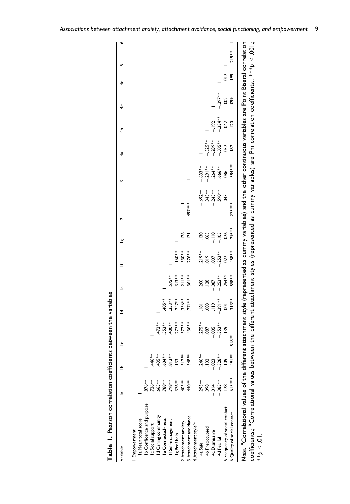| Variable                                                                                                                                                                    | $\overline{a}$  | <u>م</u>       | $\overline{a}$ | 卫             | $\mathbf{0}$ |                | 50            |           |            | 42              | $\ddot{\ast}$ | $\ddot{\mathbf{f}}$ | ᠯ        | ∾         |
|-----------------------------------------------------------------------------------------------------------------------------------------------------------------------------|-----------------|----------------|----------------|---------------|--------------|----------------|---------------|-----------|------------|-----------------|---------------|---------------------|----------|-----------|
| la Mean total score<br>Empowerment                                                                                                                                          |                 |                |                |               |              |                |               |           |            |                 |               |                     |          |           |
| Ib Confidence and purpose                                                                                                                                                   | $876***$        |                |                |               |              |                |               |           |            |                 |               |                     |          |           |
| Ic Social support                                                                                                                                                           | 726**           | .446**         |                |               |              |                |               |           |            |                 |               |                     |          |           |
| Id Caring community                                                                                                                                                         | .665**          | $435***$       | $.472**$       |               |              |                |               |           |            |                 |               |                     |          |           |
| le Connected-ness                                                                                                                                                           | 788**           | .604**         | $.553**$       | $405**$       |              |                |               |           |            |                 |               |                     |          |           |
| If Self-management                                                                                                                                                          | 798**           | $813**$        | $*800*$        | $.353**$      | $575**$      |                |               |           |            |                 |               |                     |          |           |
| Ig Prof help                                                                                                                                                                | $.376***$       | 133            | $.277***$      | $.247***$     | $313**$      | $.160**$       |               |           |            |                 |               |                     |          |           |
| 2 Attachment anxiety                                                                                                                                                        | $403**$         | $-312**$       | $-.372**$      | $-356**$      | $211**$      | $.330**$       | $-.126$       |           |            |                 |               |                     |          |           |
| 3 Attachment avoidance                                                                                                                                                      | $440**$         | $-348**$       | $-436**$       | $-271**$      | $.361**$     | $.276***$      | $-171$        | 497***    |            |                 |               |                     |          |           |
| 4 Attachment style <sup>a.b</sup>                                                                                                                                           |                 |                |                |               |              |                |               |           |            |                 |               |                     |          |           |
| 4a Safe                                                                                                                                                                     | $295***$        | $.246***$      | $.275***$      | $rac{18}{18}$ | 200          | $219***$       |               | $-692**$  | $-633**$   |                 |               |                     |          |           |
| 4b Preoccupied                                                                                                                                                              | 098             | 102            | 087            | $\frac{2}{3}$ | .128         | $\frac{6}{10}$ | 3             | $343**$   | $-29$   ** | $-325**$        |               |                     |          |           |
| 4c Dismissive                                                                                                                                                               | $-0.14$         | $-0.023$       | $-0.005$       | $rac{6}{1}$   | $-0.087$     | .007           | $\frac{1}{1}$ | $.243**$  | $.264***$  | $-0.289**$      | $-192$        |                     |          |           |
| 4d Fearful                                                                                                                                                                  | $-383**$        | $-328**$       | $-353**$       | $-291**$      | $.252**$     | $.253**$       | $-103$        | 590**     | .666**     | $.505**$        | $-334**$      | $-297**$            |          |           |
| 5 Frequency of social contact                                                                                                                                               | $\frac{128}{2}$ | $\frac{80}{2}$ | .139           | $-0.001$      | $.254***$    | 027            | 026           | 3         | $-086$     | $-0.032$        | 042           | $-0.002$            | $-0.012$ |           |
| 6 Quality of social contact                                                                                                                                                 | $615***$        | 49  **         | 518**          | $313**$       | $.558**$     | .458**         | $293**$       | $-273***$ | 384 ***    | $\frac{182}{2}$ | 120           | .099                | $-199$   | $.219***$ |
| Note. <sup>a</sup> Correlational values of the different attachment style (represented as dummy variables) and the other continuous variables are Point Biseral correlation |                 |                |                |               |              |                |               |           |            |                 |               |                     |          |           |
| coefficients; $^{\circ}$ Correlational values between the different attachment styles (represented as dummy variables) are Phi correlation coefficients; $^{***}$ p < .001; |                 |                |                |               |              |                |               |           |            |                 |               |                     |          |           |
| $10 \leq \sigma_{**}$                                                                                                                                                       |                 |                |                |               |              |                |               |           |            |                 |               |                     |          |           |
|                                                                                                                                                                             |                 |                |                |               |              |                |               |           |            |                 |               |                     |          |           |

Table 1. Pearson correlation coefficients between the variables Table 1. Pearson correlation coefficients between the variables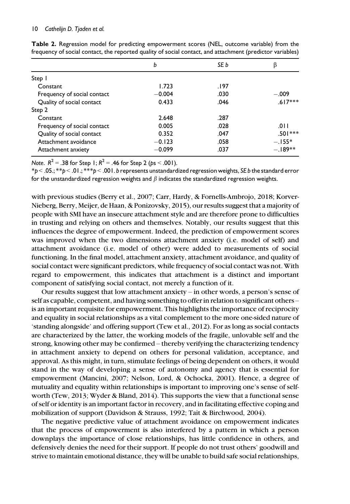|                             | Ь        | SE b | β         |
|-----------------------------|----------|------|-----------|
| Step 1                      |          |      |           |
| Constant                    | 1.723    | .197 |           |
| Frequency of social contact | $-0.004$ | .030 | $-.009$   |
| Quality of social contact   | 0.433    | .046 | $.617***$ |
| Step 2                      |          |      |           |
| Constant                    | 2.648    | .287 |           |
| Frequency of social contact | 0.005    | .028 | .011      |
| Quality of social contact   | 0.352    | .047 | $.501***$ |
| Attachment avoidance        | $-0.123$ | .058 | $-.155*$  |
| Attachment anxiety          | $-0.099$ | .037 | $-.189**$ |

Table 2. Regression model for predicting empowerment scores (NEL, outcome variable) from the frequency of social contact, the reported quality of social contact, and attachment (predictor variables)

Note.  $R^2 = .38$  for Step 1;  $R^2 = .46$  for Step 2 ( $ps < .001$ ).

 $*p<.05$ ;  $*p<.01$ ;  $**p<.001$ . b represents unstandardized regression weights, SE b the standard error for the unstandardized regression weights and  $\beta$  indicates the standardized regression weights.

with previous studies (Berry et al., 2007; Carr, Hardy, & Fornells-Ambrojo, 2018; Korver-Nieberg, Berry, Meijer, de Haan, & Ponizovsky, 2015), our results suggest that a majority of people with SMI have an insecure attachment style and are therefore prone to difficulties in trusting and relying on others and themselves. Notably, our results suggest that this influences the degree of empowerment. Indeed, the prediction of empowerment scores was improved when the two dimensions attachment anxiety (i.e. model of self) and attachment avoidance (i.e. model of other) were added to measurements of social functioning. In the final model, attachment anxiety, attachment avoidance, and quality of social contact were significant predictors, while frequency of social contact was not. With regard to empowerment, this indicates that attachment is a distinct and important component of satisfying social contact, not merely a function of it.

Our results suggest that low attachment anxiety – in other words, a person's sense of self as capable, competent, and having something to offer in relation to significant others – is an important requisite for empowerment. This highlights the importance of reciprocity and equality in social relationships as a vital complement to the more one-sided nature of 'standing alongside' and offering support (Tew et al., 2012). For as long as social contacts are characterized by the latter, the working models of the fragile, unlovable self and the strong, knowing other may be confirmed – thereby verifying the characterizing tendency in attachment anxiety to depend on others for personal validation, acceptance, and approval. As this might, in turn, stimulate feelings of being dependent on others, it would stand in the way of developing a sense of autonomy and agency that is essential for empowerment (Mancini, 2007; Nelson, Lord, & Ochocka, 2001). Hence, a degree of mutuality and equality within relationships is important to improving one's sense of selfworth (Tew, 2013; Wyder & Bland, 2014). This supports the view that a functional sense of self or identity is an important factor in recovery, and in facilitating effective coping and mobilization of support (Davidson & Strauss, 1992; Tait & Birchwood, 2004).

The negative predictive value of attachment avoidance on empowerment indicates that the process of empowerment is also interfered by a pattern in which a person downplays the importance of close relationships, has little confidence in others, and defensively denies the need for their support. If people do not trust others' goodwill and strive to maintain emotional distance, they will be unable to build safe social relationships,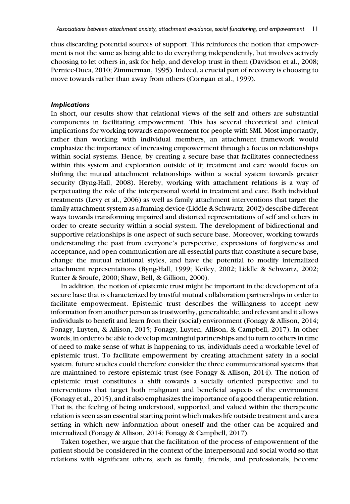thus discarding potential sources of support. This reinforces the notion that empowerment is not the same as being able to do everything independently, but involves actively choosing to let others in, ask for help, and develop trust in them (Davidson et al., 2008; Pernice-Duca, 2010; Zimmerman, 1995). Indeed, a crucial part of recovery is choosing to move towards rather than away from others (Corrigan et al., 1999).

#### **Implications**

In short, our results show that relational views of the self and others are substantial components in facilitating empowerment. This has several theoretical and clinical implications for working towards empowerment for people with SMI. Most importantly, rather than working with individual members, an attachment framework would emphasize the importance of increasing empowerment through a focus on relationships within social systems. Hence, by creating a secure base that facilitates connectedness within this system and exploration outside of it; treatment and care would focus on shifting the mutual attachment relationships within a social system towards greater security (Byng-Hall, 2008). Hereby, working with attachment relations is a way of perpetuating the role of the interpersonal world in treatment and care. Both individual treatments (Levy et al., 2006) as well as family attachment interventions that target the family attachment system as a framing device (Liddle & Schwartz, 2002) describe different ways towards transforming impaired and distorted representations of self and others in order to create security within a social system. The development of bidirectional and supportive relationships is one aspect of such secure base. Moreover, working towards understanding the past from everyone's perspective, expressions of forgiveness and acceptance, and open communication are all essential parts that constitute a secure base, change the mutual relational styles, and have the potential to modify internalized attachment representations (Byng-Hall, 1999; Keiley, 2002; Liddle & Schwartz, 2002; Rutter & Sroufe, 2000; Shaw, Bell, & Gilliom, 2000).

In addition, the notion of epistemic trust might be important in the development of a secure base that is characterized by trustful mutual collaboration partnerships in order to facilitate empowerment. Epistemic trust describes the willingness to accept new information from another person as trustworthy, generalizable, and relevant and it allows individuals to benefit and learn from their (social) environment (Fonagy & Allison, 2014; Fonagy, Luyten, & Allison, 2015; Fonagy, Luyten, Allison, & Campbell, 2017). In other words, in order to be able to develop meaningful partnerships and to turn to others in time of need to make sense of what is happening to us, individuals need a workable level of epistemic trust. To facilitate empowerment by creating attachment safety in a social system, future studies could therefore consider the three communicational systems that are maintained to restore epistemic trust (see Fonagy & Allison, 2014). The notion of epistemic trust constitutes a shift towards a socially oriented perspective and to interventions that target both malignant and beneficial aspects of the environment (Fonagy et al., 2015), and it also emphasizes the importance of a good therapeutic relation. That is, the feeling of being understood, supported, and valued within the therapeutic relation is seen as an essential starting point which makes life outside treatment and care a setting in which new information about oneself and the other can be acquired and internalized (Fonagy & Allison, 2014; Fonagy & Campbell, 2017).

Taken together, we argue that the facilitation of the process of empowerment of the patient should be considered in the context of the interpersonal and social world so that relations with significant others, such as family, friends, and professionals, become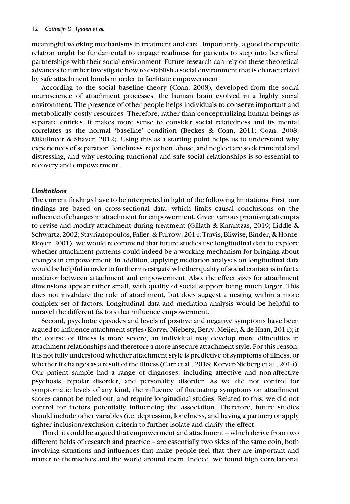meaningful working mechanisms in treatment and care. Importantly, a good therapeutic relation might be fundamental to engage readiness for patients to step into beneficial partnerships with their social environment. Future research can rely on these theoretical advances to further investigate how to establish a social environment that is characterized by safe attachment bonds in order to facilitate empowerment.

According to the social baseline theory (Coan, 2008), developed from the social neuroscience of attachment processes, the human brain evolved in a highly social environment. The presence of other people helps individuals to conserve important and metabolically costly resources. Therefore, rather than conceptualizing human beings as separate entities, it makes more sense to consider social relatedness and its mental correlates as the normal 'baseline' condition (Beckes & Coan, 2011; Coan, 2008; Mikulincer & Shaver, 2012). Using this as a starting point helps us to understand why experiences of separation, loneliness, rejection, abuse, and neglect are so detrimental and distressing, and why restoring functional and safe social relationships is so essential to recovery and empowerment.

#### Limitations

The current findings have to be interpreted in light of the following limitations. First, our findings are based on cross-sectional data, which limits causal conclusions on the influence of changes in attachment for empowerment. Given various promising attempts to revise and modify attachment during treatment (Gillath & Karantzas, 2019; Liddle & Schwartz, 2002; Stavrianopoulos, Faller, & Furrow, 2014; Travis, Bliwise, Binder, & Horne-Moyer, 2001), we would recommend that future studies use longitudinal data to explore whether attachment patterns could indeed be a working mechanism for bringing about changes in empowerment. In addition, applying mediation analyses on longitudinal data would be helpful in order to further investigate whether quality of social contact is in fact a mediator between attachment and empowerment. Also, the effect sizes for attachment dimensions appear rather small, with quality of social support being much larger. This does not invalidate the role of attachment, but does suggest a nesting within a more complex set of factors. Longitudinal data and mediation analysis would be helpful to unravel the different factors that influence empowerment.

Second, psychotic episodes and levels of positive and negative symptoms have been argued to influence attachment styles (Korver-Nieberg, Berry, Meijer, & de Haan, 2014); if the course of illness is more severe, an individual may develop more difficulties in attachment relationships and therefore a more insecure attachment style. For this reason, it is not fully understood whether attachment style is predictive of symptoms of illness, or whether it changes as a result of the illness (Carr et al., 2018; Korver-Nieberg et al., 2014). Our patient sample had a range of diagnoses, including affective and non-affective psychosis, bipolar disorder, and personality disorder. As we did not control for symptomatic levels of any kind, the influence of fluctuating symptoms on attachment scores cannot be ruled out, and require longitudinal studies. Related to this, we did not control for factors potentially influencing the association. Therefore, future studies should include other variables (i.e. depression, loneliness, and having a partner) or apply tighter inclusion/exclusion criteria to further isolate and clarify the effect.

Third, it could be argued that empowerment and attachment – which derive from two different fields of research and practice – are essentially two sides of the same coin, both involving situations and influences that make people feel that they are important and matter to themselves and the world around them. Indeed, we found high correlational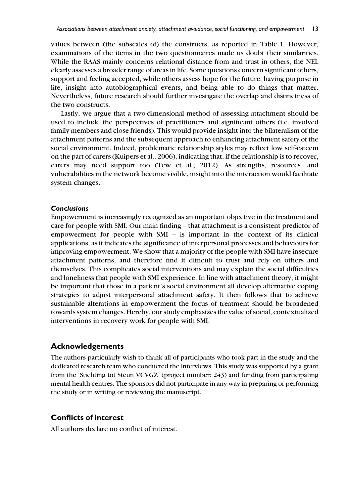values between (the subscales of) the constructs, as reported in Table 1. However, examinations of the items in the two questionnaires made us doubt their similarities. While the RAAS mainly concerns relational distance from and trust in others, the NEL clearly assesses a broader range of areas in life. Some questions concern significant others, support and feeling accepted, while others assess hope for the future, having purpose in life, insight into autobiographical events, and being able to do things that matter. Nevertheless, future research should further investigate the overlap and distinctness of the two constructs.

Lastly, we argue that a two-dimensional method of assessing attachment should be used to include the perspectives of practitioners and significant others (i.e. involved family members and close friends). This would provide insight into the bilateralism of the attachment patterns and the subsequent approach to enhancing attachment safety of the social environment. Indeed, problematic relationship styles may reflect low self-esteem on the part of carers (Kuipers et al., 2006), indicating that, if the relationship is to recover, carers may need support too (Tew et al., 2012). As strengths, resources, and vulnerabilities in the network become visible, insight into the interaction would facilitate system changes.

#### Conclusions

Empowerment is increasingly recognized as an important objective in the treatment and care for people with SMI. Our main finding – that attachment is a consistent predictor of empowerment for people with SMI – is important in the context of its clinical applications, as it indicates the significance of interpersonal processes and behaviours for improving empowerment. We show that a majority of the people with SMI have insecure attachment patterns, and therefore find it difficult to trust and rely on others and themselves. This complicates social interventions and may explain the social difficulties and loneliness that people with SMI experience. In line with attachment theory, it might be important that those in a patient's social environment all develop alternative coping strategies to adjust interpersonal attachment safety. It then follows that to achieve sustainable alterations in empowerment the focus of treatment should be broadened towards system changes. Hereby, our study emphasizes the value of social, contextualized interventions in recovery work for people with SMI.

## Acknowledgements

The authors particularly wish to thank all of participants who took part in the study and the dedicated research team who conducted the interviews. This study was supported by a grant from the 'Stichting tot Steun VCVGZ' (project number: 243) and funding from participating mental health centres. The sponsors did not participate in any way in preparing or performing the study or in writing or reviewing the manuscript.

## Conflicts of interest

All authors declare no conflict of interest.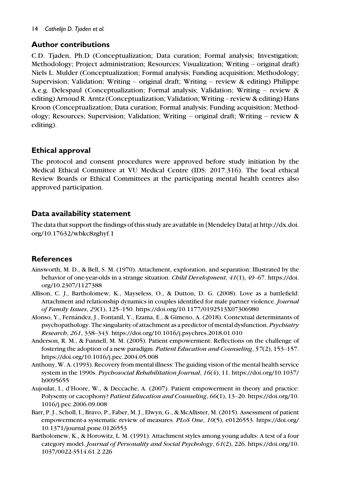# Author contributions

C.D. Tjaden, Ph.D (Conceptualization; Data curation; Formal analysis; Investigation; Methodology; Project administration; Resources; Visualization; Writing – original draft) Niels L. Mulder (Conceptualization; Formal analysis; Funding acquisition; Methodology; Supervision; Validation; Writing – original draft; Writing – review  $\&$  editing) Philippe A.e.g. Delespaul (Conceptualization; Formal analysis; Validation; Writing – review & editing) Arnoud R. Arntz (Conceptualization; Validation; Writing – review & editing) Hans Kroon (Conceptualization; Data curation; Formal analysis; Funding acquisition; Methodology; Resources; Supervision; Validation; Writing – original draft; Writing – review & editing).

# Ethical approval

The protocol and consent procedures were approved before study initiation by the Medical Ethical Committee at VU Medical Centre (IDS: 2017.316). The local ethical Review Boards or Ethical Committees at the participating mental health centres also approved participation.

# Data availability statement

The data that support the findings of this study are available in [Mendeley Data] at http://dx.doi. org/10.17632/wbkc8zghyf.1

# **References**

- Ainsworth, M. D., & Bell, S. M. (1970). Attachment, exploration, and separation: Illustrated by the behavior of one-year-olds in a strange situation. Child Development, 41(1), 49–67. https://doi. org/10.2307/1127388
- Allison, C. J., Bartholomew, K., Mayseless, O., & Dutton, D. G. (2008). Love as a battlefield: Attachment and relationship dynamics in couples identified for male partner violence. Journal of Family Issues, 29(1), 125–150. https://doi.org/10.1177/0192513X07306980
- Alonso, Y., Fernández, J., Fontanil, Y., Ezama, E., & Gimeno, A. (2018). Contextual determinants of psychopathology. The singularity of attachment as a predictor of mental dysfunction. Psychiatry Research, 261, 338–343. https://doi.org/10.1016/j.psychres.2018.01.010
- Anderson, R. M., & Funnell, M. M. (2005). Patient empowerment: Reflections on the challenge of fostering the adoption of a new paradigm. Patient Education and Counseling, 57(2), 153–157. https://doi.org/10.1016/j.pec.2004.05.008
- Anthony, W. A. (1993). Recovery from mental illness: The guiding vision of the mental health service system in the 1990s. Psychosocial Rehabilitation Journal, 16(4), 11. https://doi.org/10.1037/ h0095655
- Aujoulat, I., d'Hoore, W., & Deccache, A. (2007). Patient empowerment in theory and practice: Polysemy or cacophony? Patient Education and Counseling, 66(1), 13–20. https://doi.org/10. 1016/j.pec.2006.09.008
- Barr, P. J., Scholl, I., Bravo, P., Faber, M. J., Elwyn, G., & McAllister, M. (2015). Assessment of patient empowerment-a systematic review of measures. PLoS One, 10(5), e0126553. https://doi.org/ 10.1371/journal.pone.0126553
- Bartholomew, K., & Horowitz, L. M. (1991). Attachment styles among young adults: A test of a four category model. Journal of Personality and Social Psychology, 61(2), 226. https://doi.org/10. 1037/0022-3514.61.2.226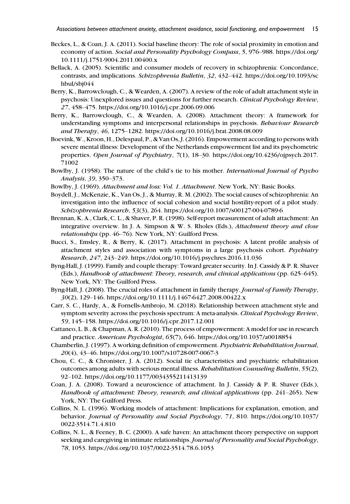- Beckes, L., & Coan, J. A. (2011). Social baseline theory: The role of social proximity in emotion and economy of action. Social and Personality Psychology Compass, 5, 976–988. https://doi.org/ 10.1111/j.1751-9004.2011.00400.x
- Bellack, A. (2005). Scientific and consumer models of recovery in schizophrenia: Concordance, contrasts, and implications. Schizophrenia Bulletin, 32, 432–442. https://doi.org/10.1093/sc hbul/sbj044
- Berry, K., Barrowclough, C., & Wearden, A. (2007). A review of the role of adult attachment style in psychosis: Unexplored issues and questions for further research. Clinical Psychology Review, 27, 458–475. https://doi.org/10.1016/j.cpr.2006.09.006
- Berry, K., Barrowclough, C., & Wearden, A. (2008). Attachment theory: A framework for understanding symptoms and interpersonal relationships in psychosis. Behaviour Research and Therapy, 46, 1275–1282. https://doi.org/10.1016/j.brat.2008.08.009
- Boevink, W., Kroon, H., Delespaul, P., & Van Os, J. (2016). Empowerment according to persons with severe mental illness: Development of the Netherlands empowerment list and its psychometric properties. Open Journal of Psychiatry, 7(1), 18–30. https://doi.org/10.4236/ojpsych.2017. 71002
- Bowlby, J. (1958). The nature of the child's tie to his mother. International Journal of Psycho Analysis, 39, 350–373.
- Bowlby, J. (1969). Attachment and loss: Vol. 1. Attachment. New York, NY: Basic Books.
- Boydell, J., McKenzie, K., Van Os, J., & Murray, R. M. (2002). The social causes of schizophrenia: An investigation into the influence of social cohesion and social hostility-report of a pilot study. Schizophrenia Research, 53(3), 264. https://doi.org/10.1007/s00127-004-0789-6
- Brennan, K. A., Clark, C. L., & Shaver, P. R. (1998). Self-report measurement of adult attachment: An integrative overview. In J. A. Simpson & W. S. Rholes (Eds.), Attachment theory and close relationships (pp. 46–76). New York, NY: Guilford Press.
- Bucci, S., Emsley, R., & Berry, K. (2017). Attachment in psychosis: A latent profile analysis of attachment styles and association with symptoms in a large psychosis cohort. Psychiatry Research, 247, 243–249. https://doi.org/10.1016/j.psychres.2016.11.036
- Byng-Hall, J. (1999). Family and couple therapy: Toward greater security. In J. Cassidy & P. R. Shaver (Eds.), Handbook of attachment: Theory, research, and clinical applications (pp. 625–645). New York, NY: The Guilford Press.
- Byng-Hall, J. (2008). The crucial roles of attachment in family therapy. Journal of Family Therapy, 30(2), 129–146. https://doi.org/10.1111/j.1467-6427.2008.00422.x
- Carr, S. C., Hardy, A., & Fornells-Ambrojo, M. (2018). Relationship between attachment style and symptom severity across the psychosis spectrum: A meta-analysis. Clinical Psychology Review, 59, 145–158. https://doi.org/10.1016/j.cpr.2017.12.001
- Cattaneo, L. B., & Chapman, A. R. (2010). The process of empowerment: A model for use in research and practice. American Psychologist, 65(7), 646. https://doi.org/10.1037/a0018854
- Chamberlin, J. (1997). A working definition of empowerment. Psychiatric Rehabilitation Journal, 20(4), 43–46. https://doi.org/10.1007/s10728-007-0067-3
- Chou, C. C., & Chronister, J. A. (2012). Social tie characteristics and psychiatric rehabilitation outcomes among adults with serious mental illness. Rehabilitation Counseling Bulletin, 55(2), 92–102. https://doi.org/10.1177/0034355211413139
- Coan, J. A. (2008). Toward a neuroscience of attachment. In J. Cassidy & P. R. Shaver (Eds.), Handbook of attachment: Theory, research, and clinical applications (pp. 241–265). New York, NY: The Guilford Press.
- Collins, N. L. (1996). Working models of attachment: Implications for explanation, emotion, and behavior. Journal of Personality and Social Psychology, 71, 810. https://doi.org/10.1037/ 0022-3514.71.4.810
- Collins, N. L., & Feeney, B. C. (2000). A safe haven: An attachment theory perspective on support seeking and caregiving in intimate relationships. Journal of Personality and Social Psychology, 78, 1053. https://doi.org/10.1037/0022-3514.78.6.1053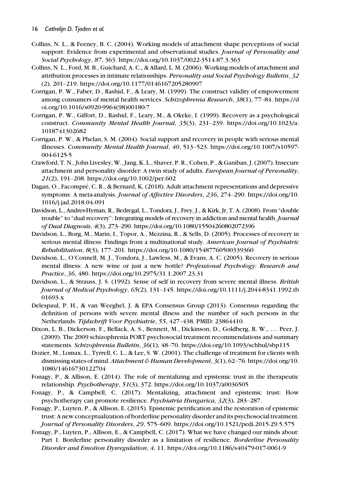- Collins, N. L., & Feeney, B. C. (2004). Working models of attachment shape perceptions of social support: Evidence from experimental and observational studies. Journal of Personality and Social Psychology, 87, 363. https://doi.org/10.1037/0022-3514.87.3.363
- Collins, N. L., Ford, M. B., Guichard, A. C., & Allard, L. M. (2006). Working models of attachment and attribution processes in intimate relationships. Personality and Social Psychology Bulletin, 32 (2), 201–219. https://doi.org/10.1177/0146167205280907
- Corrigan, P. W., Faber, D., Rashid, F., & Leary, M. (1999). The construct validity of empowerment among consumers of mental health services. Schizophrenia Research, 38(1), 77–84. https://d oi.org/10.1016/s0920-9964(98)00180-7
- Corrigan, P. W., Giffort, D., Rashid, F., Leary, M., & Okeke, I. (1999). Recovery as a psychological construct. Community Mental Health Journal, 35(3), 231–239. https://doi.org/10.1023/a: 1018741302682
- Corrigan, P. W., & Phelan, S. M. (2004). Social support and recovery in people with serious mental illnesses. Community Mental Health Journal, 40, 513–523. https://doi.org/10.1007/s10597- 004-6125-5
- Crawford, T. N., John Livesley, W., Jang, K. L., Shaver, P. R., Cohen, P., & Ganiban, J. (2007). Insecure attachment and personality disorder: A twin study of adults. European Journal of Personality, 21(2), 191–208. https://doi.org/10.1002/per.602
- Dagan, O., Facompré, C. R., & Bernard, K. (2018). Adult attachment representations and depressive symptoms: A meta-analysis. Journal of Affective Disorders, 236, 274–290. https://doi.org/10. 1016/j.jad.2018.04.091
- Davidson, L., Andres-Hyman, R., Bedregal, L., Tondora, J., Frey, J., & Kirk, Jr, T. A. (2008). From "double trouble" to "dual recovery": Integrating models of recovery in addiction and mental health. Journal of Dual Diagnosis, 4(3), 273–290. https://doi.org/10.1080/15504260802072396
- Davidson, L., Borg, M., Marin, I., Topor, A., Mezzina, R., & Sells, D. (2005). Processes of recovery in serious mental illness: Findings from a multinational study. American Journal of Psychiatric Rehabilitation, 8(3), 177–201. https://doi.org/10.1080/15487760500339360
- Davidson, L., O'Connell, M. J., Tondora, J., Lawless, M., & Evans, A. C. (2005). Recovery in serious mental illness: A new wine or just a new bottle? Professional Psychology: Research and Practice, 36, 480. https://doi.org/10.2975/31.1.2007.23.31
- Davidson, L., & Strauss, J. S. (1992). Sense of self in recovery from severe mental illness. British Journal of Medical Psychology, 65(2), 131–145. https://doi.org/10.1111/j.2044-8341.1992.tb 01693.x
- Delespaul, P. H., & van Weeghel, J. & EPA Consensus Group (2013). Consensus regarding the definition of persons with severe mental illness and the number of such persons in the Netherlands. Tijdschrift Voor Psychiatrie, 55, 427–438. PMID: 23864410.
- Dixon, L. B., Dickerson, F., Bellack, A. S., Bennett, M., Dickinson, D., Goldberg, R. W., ... Peer, J. (2009). The 2009 schizophrenia PORT psychosocial treatment recommendations and summary statements. Schizophrenia Bulletin, 36(1), 48–70. https://doi.org/10.1093/schbul/sbp115
- Dozier, M., Lomax, L., Tyrrell, C. L., & Lee, S. W. (2001). The challenge of treatment for clients with dismissing states of mind. Attachment & Human Development,  $3(1)$ ,  $62-76$ . https://doi.org/10. 1080/14616730122704
- Fonagy, P., & Allison, E. (2014). The role of mentalizing and epistemic trust in the therapeutic relationship. Psychotherapy, 51(3), 372. https://doi.org/10.1037/a0036505
- Fonagy, P., & Campbell, C. (2017). Mentalizing, attachment and epistemic trust: How psychotherapy can promote resilience. Psychiatria Hungarica, 32(3), 283–287.
- Fonagy, P., Luyten, P., & Allison, E. (2015). Epistemic petrification and the restoration of epistemic trust: A new conceptualization of borderline personality disorder and its psychosocial treatment. Journal of Personality Disorders, 29, 575–609. https://doi.org/10.1521/pedi.2015.29.5.575
- Fonagy, P., Luyten, P., Allison, E., & Campbell, C. (2017). What we have changed our minds about: Part 1. Borderline personality disorder as a limitation of resilience. Borderline Personality Disorder and Emotion Dysregulation, 4, 11. https://doi.org/10.1186/s40479-017-0061-9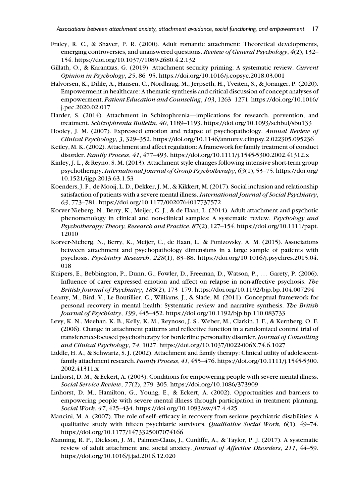- Fraley, R. C., & Shaver, P. R. (2000). Adult romantic attachment: Theoretical developments, emerging controversies, and unanswered questions. Review of General Psychology, 4(2), 132– 154. https://doi.org/10.1037//1089-2680.4.2.132
- Gillath, O., & Karantzas, G. (2019). Attachment security priming: A systematic review. Current Opinion in Psychology, 25, 86–95. https://doi.org/10.1016/j.copsyc.2018.03.001
- Halvorsen, K., Dihle, A., Hansen, C., Nordhaug, M., Jerpseth, H., Tveiten, S., & Joranger, P. (2020). Empowerment in healthcare: A thematic synthesis and critical discussion of concept analyses of empowerment. Patient Education and Counseling, 103, 1263–1271. https://doi.org/10.1016/ j.pec.2020.02.017
- Harder, S. (2014). Attachment in Schizophrenia—implications for research, prevention, and treatment. Schizophrenia Bulletin, 40, 1189–1193. https://doi.org/10.1093/schbul/sbu133
- Hooley, J. M. (2007). Expressed emotion and relapse of psychopathology. Annual Review of Clinical Psychology, 3, 329–352. https://doi.org/10.1146/annurev.clinpsy.2.022305.095236
- Keiley, M. K. (2002). Attachment and affect regulation: A framework for family treatment of conduct disorder. Family Process, 41, 477–493. https://doi.org/10.1111/j.1545-5300.2002.41312.x
- Kinley, J. L., & Reyno, S. M. (2013). Attachment style changes following intensive short-term group psychotherapy. International Journal of Group Psychotherapy, 63(1), 53–75. https://doi.org/ 10.1521/ijgp.2013.63.1.53
- Koenders, J. F., de Mooij, L. D., Dekker, J. M., & Kikkert, M. (2017). Social inclusion and relationship satisfaction of patients with a severe mental illness. International Journal of Social Psychiatry, 63, 773–781. https://doi.org/10.1177/0020764017737572
- Korver-Nieberg, N., Berry, K., Meijer, C. J., & de Haan, L. (2014). Adult attachment and psychotic phenomenology in clinical and non-clinical samples: A systematic review. Psychology and Psychotherapy: Theory, Research and Practice, 87(2), 127–154. https://doi.org/10.1111/papt. 12010
- Korver-Nieberg, N., Berry, K., Meijer, C., de Haan, L., & Ponizovsky, A. M. (2015). Associations between attachment and psychopathology dimensions in a large sample of patients with psychosis. Psychiatry Research, 228(1), 83–88. https://doi.org/10.1016/j.psychres.2015.04. 018
- Kuipers, E., Bebbington, P., Dunn, G., Fowler, D., Freeman, D., Watson, P., ... Garety, P. (2006). Influence of carer expressed emotion and affect on relapse in non-affective psychosis. The British Journal of Psychiatry, 188(2), 173–179. https://doi.org/10.1192/bjp.bp.104.007294
- Leamy, M., Bird, V., Le Boutillier, C., Williams, J., & Slade, M. (2011). Conceptual framework for personal recovery in mental health: Systematic review and narrative synthesis. The British Journal of Psychiatry, 199, 445–452. https://doi.org/10.1192/bjp.bp.110.083733
- Levy, K. N., Meehan, K. B., Kelly, K. M., Reynoso, J. S., Weber, M., Clarkin, J. F., & Kernberg, O. F. (2006). Change in attachment patterns and reflective function in a randomized control trial of transference-focused psychotherapy for borderline personality disorder. Journal of Consulting and Clinical Psychology, 74, 1027. https://doi.org/10.1037/0022-006X.74.6.1027
- Liddle, H. A., & Schwartz, S. J. (2002). Attachment and family therapy: Clinical utility of adolescentfamily attachment research. Family Process, 41, 455–476. https://doi.org/10.1111/j.1545-5300. 2002.41311.x
- Linhorst, D. M., & Eckert, A. (2003). Conditions for empowering people with severe mental illness. Social Service Review, 77(2), 279–305. https://doi.org/10.1086/373909
- Linhorst, D. M., Hamilton, G., Young, E., & Eckert, A. (2002). Opportunities and barriers to empowering people with severe mental illness through participation in treatment planning. Social Work, 47, 425–434. https://doi.org/10.1093/sw/47.4.425
- Mancini, M. A. (2007). The role of self–efficacy in recovery from serious psychiatric disabilities: A qualitative study with fifteen psychiatric survivors. Qualitative Social Work,  $6(1)$ ,  $49-74$ . https://doi.org/10.1177/1473325007074166
- Manning, R. P., Dickson, J. M., Palmier-Claus, J., Cunliffe, A., & Taylor, P. J. (2017). A systematic review of adult attachment and social anxiety. Journal of Affective Disorders, 211, 44–59. https://doi.org/10.1016/j.jad.2016.12.020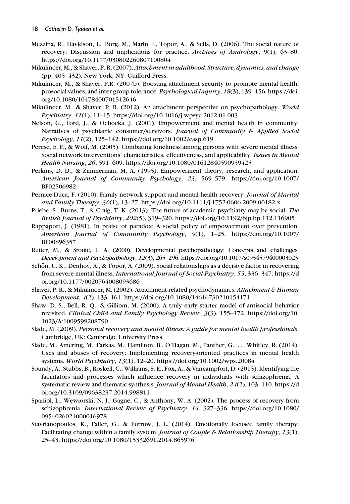- Mezzina, R., Davidson, L., Borg, M., Marin, I., Topor, A., & Sells, D. (2006). The social nature of recovery: Discussion and implications for practice. Archives of Andrology, 9(1), 63–80. https://doi.org/10.1177/030802260807100804
- Mikulincer, M., & Shaver, P. R. (2007). Attachment in adulthood: Structure, dynamics, and change (pp. 405–432). New York, NY: Guilford Press.
- Mikulincer, M., & Shaver, P.R. (2007b). Boosting attachment security to promote mental health, prosocial values, and inter-group tolerance. Psychological Inquiry, 18(3), 139–156. https://doi. org/10.1080/10478400701512646
- Mikulincer, M., & Shaver, P. R. (2012). An attachment perspective on psychopathology. World Psychiatry, 11(1), 11–15. https://doi.org/10.1016/j.wpsyc.2012.01.003
- Nelson, G., Lord, J., & Ochocka, J. (2001). Empowerment and mental health in community: Narratives of psychiatric consumer/survivors. Journal of Community  $\mathcal E$  Applied Social Psychology, 11(2), 125–142. https://doi.org/10.1002/casp.619
- Perese, E. F., & Wolf, M. (2005). Combating loneliness among persons with severe mental illness: Social network interventions' characteristics, effectiveness, and applicability. Issues in Mental Health Nursing, 26, 591–609. https://doi.org/10.1080/01612840590959425
- Perkins, D. D., & Zimmerman, M. A. (1995). Empowerment theory, research, and application. American Journal of Community Psychology, 23, 569–579. https://doi.org/10.1007/ BF02506982
- Pernice-Duca, F. (2010). Family network support and mental health recovery. Journal of Marital and Family Therapy, 36(1), 13–27. https://doi.org/10.1111/j.1752-0606.2009.00182.x
- Priebe, S., Burns, T., & Craig, T. K. (2013). The future of academic psychiatry may be social. The British Journal of Psychiatry, 202(5), 319–320. https://doi.org/10.1192/bjp.bp.112.116905
- Rappaport, J. (1981). In praise of paradox: A social policy of empowerment over prevention. American Journal of Community Psychology, 9(1), 1–25. https://doi.org/10.1007/ BF00896357
- Rutter, M., & Sroufe, L. A. (2000). Developmental psychopathology: Concepts and challenges. Development and Psychopathology, 12(3), 265–296. https://doi.org/10.1017/s0954579400003023
- Schön, U. K., Denhov, A., & Topor, A. (2009). Social relationships as a decisive factor in recovering from severe mental illness. International Journal of Social Psychiatry, 55, 336–347. https://d oi.org/10.1177/0020764008093686
- Shaver, P. R., & Mikulincer, M. (2002). Attachment-related psychodynamics. Attachment & Human Development, 4(2), 133–161. https://doi.org/10.1080/14616730210154171
- Shaw, D. S., Bell, R. Q., & Gilliom, M. (2000). A truly early starter model of antisocial behavior revisited. Clinical Child and Family Psychology Review, 3(3), 155–172. https://doi.org/10. 1023/A:1009599208790
- Slade, M. (2009). Personal recovery and mental illness: A guide for mental health professionals, Cambridge, UK: Cambridge University Press.
- Slade, M., Amering, M., Farkas, M., Hamilton, B., O'Hagan, M., Panther, G., ... Whitley, R. (2014). Uses and abuses of recovery: Implementing recovery-oriented practices in mental health systems. World Psychiatry, 13(1), 12–20. https://doi.org/10.1002/wps.20084
- Soundy, A., Stubbs, B., Roskell, C., Williams, S. E., Fox, A., & Vancampfort, D. (2015). Identifying the facilitators and processes which influence recovery in individuals with schizophrenia: A systematic review and thematic synthesis. Journal of Mental Health, 24(2), 103-110. https://d oi.org/10.3109/09638237.2014.998811
- Spaniol, L., Wewiorski, N. J., Gagne, C., & Anthony, W. A. (2002). The process of recovery from schizophrenia. International Review of Psychiatry, 14, 327–336. https://doi.org/10.1080/ 0954026021000016978
- Stavrianopoulos, K., Faller, G., & Furrow, J. L. (2014). Emotionally focused family therapy: Facilitating change within a family system. Journal of Couple & Relationship Therapy, 13(1), 25–43. https://doi.org/10.1080/15332691.2014.865976